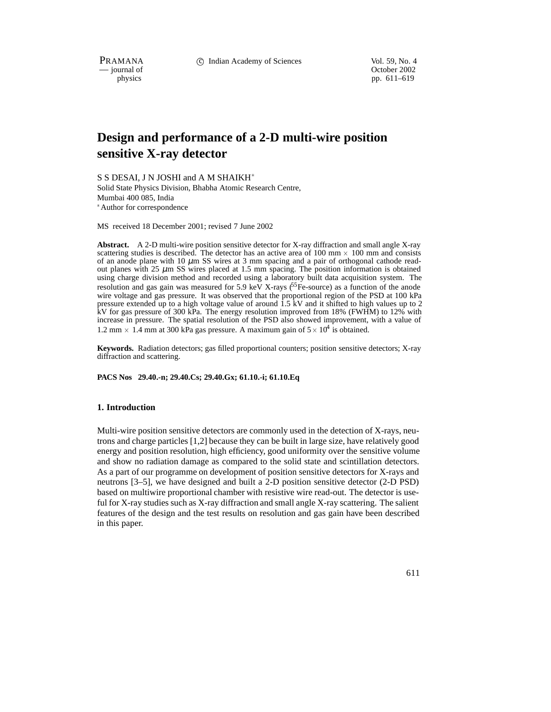PRAMANA 
compared in the C Indian Academy of Sciences 
compared vol. 59, No. 4<br>
cournal of Corober 2002

physics<br>
physics<br>
pp. 611–619 pp. 611–619

# **Design and performance of a 2-D multi-wire position sensitive X-ray detector**

S S DESAI, J N JOSHI and A M SHAIKH Solid State Physics Division, Bhabha Atomic Research Centre, Mumbai 400 085, India Author for correspondence

MS received 18 December 2001; revised 7 June 2002

**Abstract.** A 2-D multi-wire position sensitive detector for X-ray diffraction and small angle X-ray scattering studies is described. The detector has an active area of  $100 \text{ mm} \times 100 \text{ mm}$  and consists of an anode plane with 10  $\mu$ m SS wires at 3 mm spacing and a pair of orthogonal cathode readout planes with 25  $\mu$ m SS wires placed at 1.5 mm spacing. The position information is obtained using charge division method and recorded using a laboratory built data acquisition system. The resolution and gas gain was measured for 5.9 keV X-rays  $^{55}$ Fe-source) as a function of the anode wire voltage and gas pressure. It was observed that the proportional region of the PSD at 100 kPa pressure extended up to a high voltage value of around 1.5 kV and it shifted to high values up to 2 kV for gas pressure of 300 kPa. The energy resolution improved from 18% (FWHM) to 12% with increase in pressure. The spatial resolution of the PSD also showed improvement, with a value of 1.2 mm  $\times$  1.4 mm at 300 kPa gas pressure. A maximum gain of  $5 \times 10^4$  is obtained.

**Keywords.** Radiation detectors; gas filled proportional counters; position sensitive detectors; X-ray diffraction and scattering.

#### **PACS Nos 29.40.-n; 29.40.Cs; 29.40.Gx; 61.10.-i; 61.10.Eq**

### **1. Introduction**

Multi-wire position sensitive detectors are commonly used in the detection of X-rays, neutrons and charge particles [1,2] because they can be built in large size, have relatively good energy and position resolution, high efficiency, good uniformity over the sensitive volume and show no radiation damage as compared to the solid state and scintillation detectors. As a part of our programme on development of position sensitive detectors for X-rays and neutrons [3–5], we have designed and built a 2-D position sensitive detector (2-D PSD) based on multiwire proportional chamber with resistive wire read-out. The detector is useful for X-ray studies such as X-ray diffraction and small angle X-ray scattering. The salient features of the design and the test results on resolution and gas gain have been described in this paper.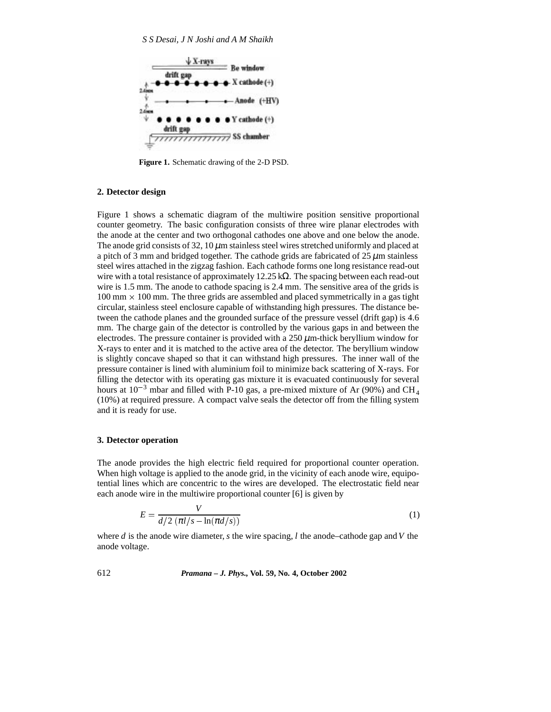

**Figure 1.** Schematic drawing of the 2-D PSD.

## **2. Detector design**

Figure 1 shows a schematic diagram of the multiwire position sensitive proportional counter geometry. The basic configuration consists of three wire planar electrodes with the anode at the center and two orthogonal cathodes one above and one below the anode. The anode grid consists of 32, 10  $\mu$ m stainless steel wires stretched uniformly and placed at a pitch of 3 mm and bridged together. The cathode grids are fabricated of  $25 \mu$ m stainless steel wires attached in the zigzag fashion. Each cathode forms one long resistance read-out wire with a total resistance of approximately 12.25 k $\Omega$ . The spacing between each read-out wire is 1.5 mm. The anode to cathode spacing is 2.4 mm. The sensitive area of the grids is  $100 \text{ mm} \times 100 \text{ mm}$ . The three grids are assembled and placed symmetrically in a gas tight circular, stainless steel enclosure capable of withstanding high pressures. The distance between the cathode planes and the grounded surface of the pressure vessel (drift gap) is 4.6 mm. The charge gain of the detector is controlled by the various gaps in and between the electrodes. The pressure container is provided with a  $250 \mu$ m-thick beryllium window for X-rays to enter and it is matched to the active area of the detector. The beryllium window is slightly concave shaped so that it can withstand high pressures. The inner wall of the pressure container is lined with aluminium foil to minimize back scattering of X-rays. For filling the detector with its operating gas mixture it is evacuated continuously for several hours at  $10^{-3}$  mbar and filled with P-10 gas, a pre-mixed mixture of Ar (90%) and CH<sub>4</sub> (10%) at required pressure. A compact valve seals the detector off from the filling system and it is ready for use.

## **3. Detector operation**

The anode provides the high electric field required for proportional counter operation. When high voltage is applied to the anode grid, in the vicinity of each anode wire, equipotential lines which are concentric to the wires are developed. The electrostatic field near each anode wire in the multiwire proportional counter [6] is given by

$$
E = \frac{V}{d/2 \left(\pi l/s - \ln(\pi d/s)\right)}
$$
(1)

where *d* is the anode wire diameter, *s* the wire spacing, *l* the anode–cathode gap and*V* the anode voltage.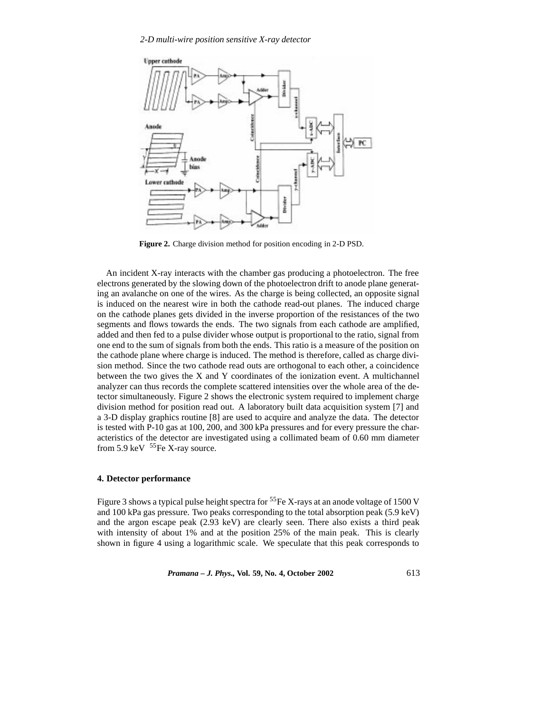

**Figure 2.** Charge division method for position encoding in 2-D PSD.

An incident X-ray interacts with the chamber gas producing a photoelectron. The free electrons generated by the slowing down of the photoelectron drift to anode plane generating an avalanche on one of the wires. As the charge is being collected, an opposite signal is induced on the nearest wire in both the cathode read-out planes. The induced charge on the cathode planes gets divided in the inverse proportion of the resistances of the two segments and flows towards the ends. The two signals from each cathode are amplified, added and then fed to a pulse divider whose output is proportional to the ratio, signal from one end to the sum of signals from both the ends. This ratio is a measure of the position on the cathode plane where charge is induced. The method is therefore, called as charge division method. Since the two cathode read outs are orthogonal to each other, a coincidence between the two gives the X and Y coordinates of the ionization event. A multichannel analyzer can thus records the complete scattered intensities over the whole area of the detector simultaneously. Figure 2 shows the electronic system required to implement charge division method for position read out. A laboratory built data acquisition system [7] and a 3-D display graphics routine [8] are used to acquire and analyze the data. The detector is tested with P-10 gas at 100, 200, and 300 kPa pressures and for every pressure the characteristics of the detector are investigated using a collimated beam of 0.60 mm diameter from 5.9 keV  $55Fe$  X-ray source.

## **4. Detector performance**

Figure 3 shows a typical pulse height spectra for  ${}^{55}Fe$  X-rays at an anode voltage of 1500 V and 100 kPa gas pressure. Two peaks corresponding to the total absorption peak (5.9 keV) and the argon escape peak (2.93 keV) are clearly seen. There also exists a third peak with intensity of about 1% and at the position 25% of the main peak. This is clearly shown in figure 4 using a logarithmic scale. We speculate that this peak corresponds to

*Pramana – J. Phys.,* **Vol. 59, No. 4, October 2002** 613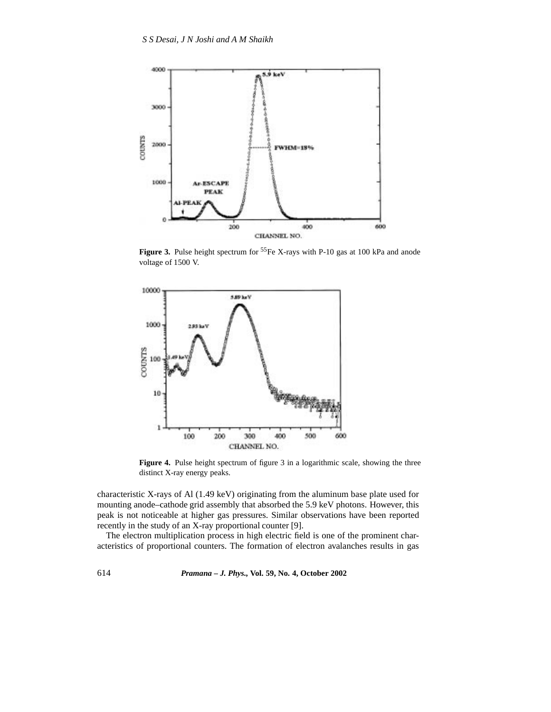

Figure 3. Pulse height spectrum for <sup>55</sup>Fe X-rays with P-10 gas at 100 kPa and anode voltage of 1500 V.



Figure 4. Pulse height spectrum of figure 3 in a logarithmic scale, showing the three distinct X-ray energy peaks.

characteristic X-rays of Al (1.49 keV) originating from the aluminum base plate used for mounting anode–cathode grid assembly that absorbed the 5.9 keV photons. However, this peak is not noticeable at higher gas pressures. Similar observations have been reported recently in the study of an X-ray proportional counter [9].

The electron multiplication process in high electric field is one of the prominent characteristics of proportional counters. The formation of electron avalanches results in gas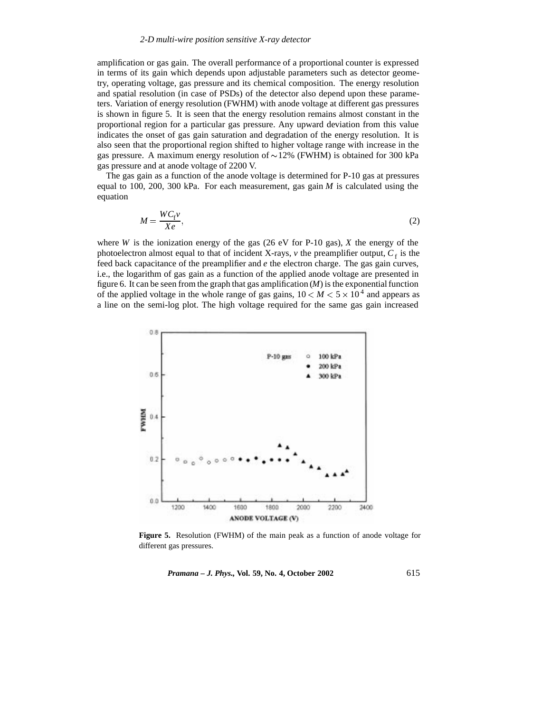amplification or gas gain. The overall performance of a proportional counter is expressed in terms of its gain which depends upon adjustable parameters such as detector geometry, operating voltage, gas pressure and its chemical composition. The energy resolution and spatial resolution (in case of PSDs) of the detector also depend upon these parameters. Variation of energy resolution (FWHM) with anode voltage at different gas pressures is shown in figure 5. It is seen that the energy resolution remains almost constant in the proportional region for a particular gas pressure. Any upward deviation from this value indicates the onset of gas gain saturation and degradation of the energy resolution. It is also seen that the proportional region shifted to higher voltage range with increase in the gas pressure. A maximum energy resolution of  $\sim$ 12% (FWHM) is obtained for 300 kPa gas pressure and at anode voltage of 2200 V.

The gas gain as a function of the anode voltage is determined for P-10 gas at pressures equal to 100, 200, 300 kPa. For each measurement, gas gain  $M$  is calculated using the equation

$$
M = \frac{WC_f \nu}{Xe},\tag{2}
$$

where *W* is the ionization energy of the gas (26 eV for P-10 gas),  $X$  the energy of the photoelectron almost equal to that of incident X-rays,  $\nu$  the preamplifier output,  $C_f$  is the feed back capacitance of the preamplifier and *e* the electron charge. The gas gain curves, i.e., the logarithm of gas gain as a function of the applied anode voltage are presented in figure 6. It can be seen from the graph that gas amplification  $(M)$  is the exponential function of the applied voltage in the whole range of gas gains,  $10 < M < 5 \times 10^4$  and appears as a line on the semi-log plot. The high voltage required for the same gas gain increased



**Figure 5.** Resolution (FWHM) of the main peak as a function of anode voltage for different gas pressures.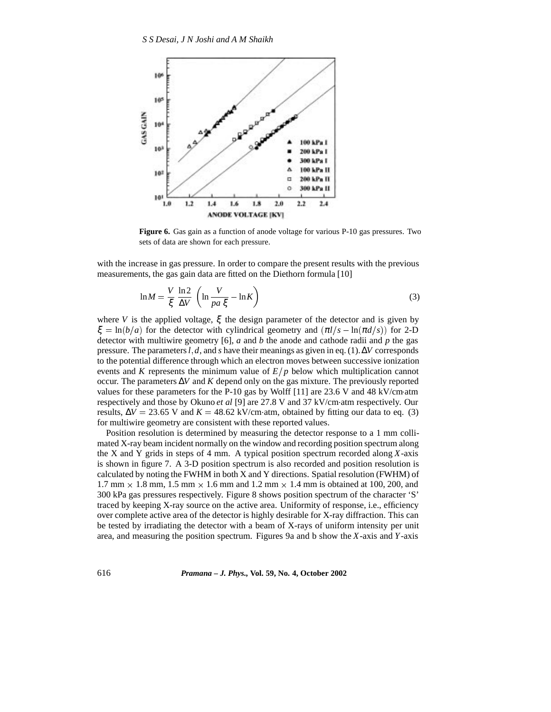

**Figure 6.** Gas gain as a function of anode voltage for various P-10 gas pressures. Two sets of data are shown for each pressure.

with the increase in gas pressure. In order to compare the present results with the previous measurements, the gas gain data are fitted on the Diethorn formula [10]

$$
\ln M = \frac{V}{\xi} \frac{\ln 2}{\Delta V} \left( \ln \frac{V}{pa \xi} - \ln K \right)
$$
 (3)

where *V* is the applied voltage,  $\xi$  the design parameter of the detector and is given by  $\xi = \ln(b/a)$  for the detector with cylindrical geometry and  $(\pi l/s - \ln(\pi d/s))$  for 2-D detector with multiwire geometry [6], *a* and *b* the anode and cathode radii and *p* the gas pressure. The parameters*l* ; *d*, and *s* have their meanings as given in eq. (1).∆*V* corresponds to the potential difference through which an electron moves between successive ionization events and *K* represents the minimum value of  $E/p$  below which multiplication cannot occur. The parameters ∆*V* and *K* depend only on the gas mixture. The previously reported values for these parameters for the P-10 gas by Wolff  $[11]$  are 23.6 V and 48 kV/cm atm respectively and those by Okuno *et al* [9] are 27.8 V and 37 kV/cmatm respectively. Our results,  $\Delta V = 23.65$  V and  $K = 48.62$  kV/cm atm, obtained by fitting our data to eq. (3) for multiwire geometry are consistent with these reported values.

Position resolution is determined by measuring the detector response to a 1 mm collimated X-ray beam incident normally on the window and recording position spectrum along the X and Y grids in steps of 4 mm. A typical position spectrum recorded along *X*-axis is shown in figure 7. A 3-D position spectrum is also recorded and position resolution is calculated by noting the FWHM in both X and Y directions. Spatial resolution (FWHM) of  $1.7$  mm  $\times$  1.8 mm, 1.5 mm  $\times$  1.6 mm and 1.2 mm  $\times$  1.4 mm is obtained at 100, 200, and 300 kPa gas pressures respectively. Figure 8 shows position spectrum of the character 'S' traced by keeping X-ray source on the active area. Uniformity of response, i.e., efficiency over complete active area of the detector is highly desirable for X-ray diffraction. This can be tested by irradiating the detector with a beam of X-rays of uniform intensity per unit area, and measuring the position spectrum. Figures 9a and b show the *X*-axis and *Y*-axis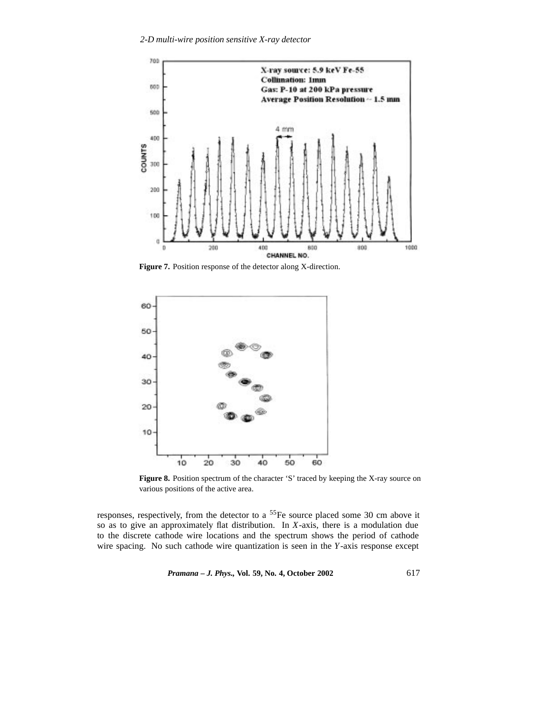

**Figure 7.** Position response of the detector along X-direction.



Figure 8. Position spectrum of the character 'S' traced by keeping the X-ray source on various positions of the active area.

responses, respectively, from the detector to a 55Fe source placed some 30 cm above it so as to give an approximately flat distribution. In *X*-axis, there is a modulation due to the discrete cathode wire locations and the spectrum shows the period of cathode wire spacing. No such cathode wire quantization is seen in the *Y*-axis response except

*Pramana – J. Phys.,* **Vol. 59, No. 4, October 2002** 617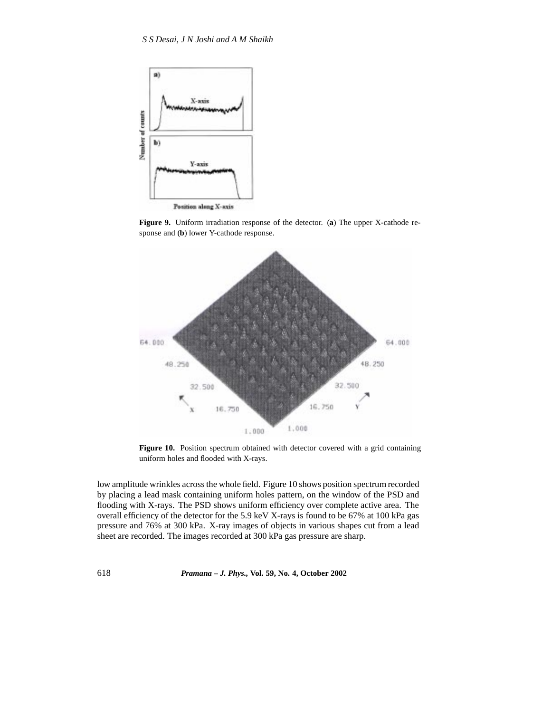

**Figure 9.** Uniform irradiation response of the detector. (**a**) The upper X-cathode response and (**b**) lower Y-cathode response.



**Figure 10.** Position spectrum obtained with detector covered with a grid containing uniform holes and flooded with X-rays.

low amplitude wrinkles across the whole field. Figure 10 shows position spectrum recorded by placing a lead mask containing uniform holes pattern, on the window of the PSD and flooding with X-rays. The PSD shows uniform efficiency over complete active area. The overall efficiency of the detector for the 5.9 keV X-rays is found to be 67% at 100 kPa gas pressure and 76% at 300 kPa. X-ray images of objects in various shapes cut from a lead sheet are recorded. The images recorded at 300 kPa gas pressure are sharp.